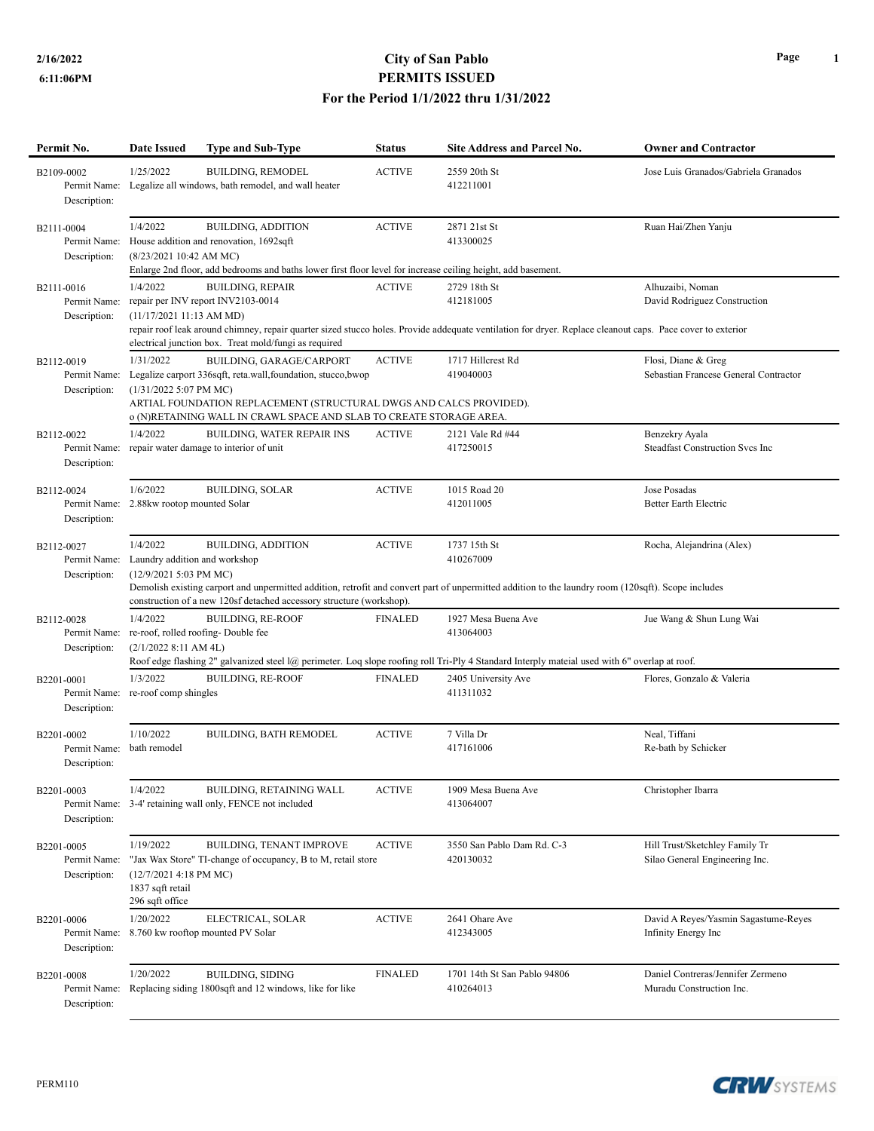## **2/16/2022 City of San Pablo PERMITS ISSUED For the Period 1/1/2022 thru 1/31/2022**

| Permit No.                                 | <b>Date Issued</b>                  | <b>Type and Sub-Type</b>                                                                                                                                                                                    | <b>Status</b>  | Site Address and Parcel No.                                                                                                                                             | <b>Owner and Contractor</b>                                  |
|--------------------------------------------|-------------------------------------|-------------------------------------------------------------------------------------------------------------------------------------------------------------------------------------------------------------|----------------|-------------------------------------------------------------------------------------------------------------------------------------------------------------------------|--------------------------------------------------------------|
| B2109-0002<br>Description:                 | 1/25/2022                           | <b>BUILDING, REMODEL</b><br>Permit Name: Legalize all windows, bath remodel, and wall heater                                                                                                                | <b>ACTIVE</b>  | 2559 20th St<br>412211001                                                                                                                                               | Jose Luis Granados/Gabriela Granados                         |
| B2111-0004<br>Description:                 | 1/4/2022<br>(8/23/2021 10:42 AM MC) | <b>BUILDING, ADDITION</b><br>Permit Name: House addition and renovation, 1692sqft<br>Enlarge 2nd floor, add bedrooms and baths lower first floor level for increase ceiling height, add basement.           | <b>ACTIVE</b>  | 2871 21st St<br>413300025                                                                                                                                               | Ruan Hai/Zhen Yanju                                          |
|                                            | 1/4/2022                            | <b>BUILDING, REPAIR</b>                                                                                                                                                                                     | <b>ACTIVE</b>  | 2729 18th St                                                                                                                                                            | Alhuzaibi, Noman                                             |
| B2111-0016<br>Permit Name:<br>Description: | (11/17/202111:13 AM MD)             | repair per INV report INV2103-0014<br>electrical junction box. Treat mold/fungi as required                                                                                                                 |                | 412181005<br>repair roof leak around chimney, repair quarter sized stucco holes. Provide addequate ventilation for dryer. Replace cleanout caps. Pace cover to exterior | David Rodriguez Construction                                 |
|                                            | 1/31/2022                           |                                                                                                                                                                                                             |                |                                                                                                                                                                         |                                                              |
| B2112-0019<br>Permit Name:                 |                                     | BUILDING, GARAGE/CARPORT                                                                                                                                                                                    | <b>ACTIVE</b>  | 1717 Hillcrest Rd<br>419040003                                                                                                                                          | Flosi, Diane & Greg<br>Sebastian Francese General Contractor |
| Description:                               | $(1/31/20225:07$ PM MC)             | Legalize carport 336sqft, reta.wall, foundation, stucco, bwop<br>ARTIAL FOUNDATION REPLACEMENT (STRUCTURAL DWGS AND CALCS PROVIDED).<br>o (N)RETAINING WALL IN CRAWL SPACE AND SLAB TO CREATE STORAGE AREA. |                |                                                                                                                                                                         |                                                              |
| B2112-0022                                 | 1/4/2022                            | <b>BUILDING, WATER REPAIR INS</b>                                                                                                                                                                           | <b>ACTIVE</b>  | 2121 Vale Rd #44                                                                                                                                                        | Benzekry Ayala                                               |
| Description:                               |                                     | Permit Name: repair water damage to interior of unit                                                                                                                                                        |                | 417250015                                                                                                                                                               | <b>Steadfast Construction Svcs Inc</b>                       |
| B2112-0024                                 | 1/6/2022                            | <b>BUILDING, SOLAR</b>                                                                                                                                                                                      | <b>ACTIVE</b>  | 1015 Road 20                                                                                                                                                            | Jose Posadas                                                 |
| Permit Name:                               | 2.88kw rootop mounted Solar         |                                                                                                                                                                                                             |                | 412011005                                                                                                                                                               | <b>Better Earth Electric</b>                                 |
| Description:                               |                                     |                                                                                                                                                                                                             |                |                                                                                                                                                                         |                                                              |
| B2112-0027                                 | 1/4/2022                            | <b>BUILDING, ADDITION</b>                                                                                                                                                                                   | <b>ACTIVE</b>  | 1737 15th St                                                                                                                                                            | Rocha, Alejandrina (Alex)                                    |
| Permit Name:                               | Laundry addition and workshop       |                                                                                                                                                                                                             |                | 410267009                                                                                                                                                               |                                                              |
| Description:                               | (12/9/2021 5:03 PM MC)              | construction of a new 120sf detached accessory structure (workshop).                                                                                                                                        |                | Demolish existing carport and unpermitted addition, retrofit and convert part of unpermitted addition to the laundry room (120sqft). Scope includes                     |                                                              |
| B2112-0028                                 | 1/4/2022                            | <b>BUILDING, RE-ROOF</b>                                                                                                                                                                                    | <b>FINALED</b> | 1927 Mesa Buena Ave                                                                                                                                                     | Jue Wang & Shun Lung Wai                                     |
| Permit Name:                               |                                     | re-roof, rolled roofing-Double fee                                                                                                                                                                          |                | 413064003                                                                                                                                                               |                                                              |
| Description:                               | (2/1/2022 8:11 AM 4L)               |                                                                                                                                                                                                             |                | Roof edge flashing 2" galvanized steel l@ perimeter. Loq slope roofing roll Tri-Ply 4 Standard Interply mateial used with 6" overlap at roof.                           |                                                              |
| B2201-0001                                 | 1/3/2022                            | <b>BUILDING, RE-ROOF</b>                                                                                                                                                                                    | <b>FINALED</b> | 2405 University Ave                                                                                                                                                     | Flores, Gonzalo & Valeria                                    |
| Permit Name:<br>Description:               | re-roof comp shingles               |                                                                                                                                                                                                             |                | 411311032                                                                                                                                                               |                                                              |
| B2201-0002                                 | 1/10/2022                           | <b>BUILDING, BATH REMODEL</b>                                                                                                                                                                               | <b>ACTIVE</b>  | 7 Villa Dr                                                                                                                                                              | Neal, Tiffani                                                |
| Permit Name:                               | bath remodel                        |                                                                                                                                                                                                             |                | 417161006                                                                                                                                                               | Re-bath by Schicker                                          |
| Description:                               |                                     |                                                                                                                                                                                                             |                |                                                                                                                                                                         |                                                              |
| B2201-0003                                 | 1/4/2022                            | BUILDING, RETAINING WALL                                                                                                                                                                                    | <b>ACTIVE</b>  | 1909 Mesa Buena Ave                                                                                                                                                     | Christopher Ibarra                                           |
| Permit Name:<br>Description:               |                                     | 3-4' retaining wall only, FENCE not included                                                                                                                                                                |                | 413064007                                                                                                                                                               |                                                              |
| B2201-0005                                 | 1/19/2022                           | BUILDING, TENANT IMPROVE                                                                                                                                                                                    | <b>ACTIVE</b>  | 3550 San Pablo Dam Rd. C-3                                                                                                                                              | Hill Trust/Sketchley Family Tr                               |
| Permit Name:                               |                                     | "Jax Wax Store" TI-change of occupancy, B to M, retail store                                                                                                                                                |                | 420130032                                                                                                                                                               | Silao General Engineering Inc.                               |
| Description:                               | $(12/7/20214:18$ PM MC)             |                                                                                                                                                                                                             |                |                                                                                                                                                                         |                                                              |
|                                            | 1837 sqft retail<br>296 sqft office |                                                                                                                                                                                                             |                |                                                                                                                                                                         |                                                              |
| B2201-0006                                 | 1/20/2022                           | ELECTRICAL, SOLAR                                                                                                                                                                                           | <b>ACTIVE</b>  | 2641 Ohare Ave                                                                                                                                                          | David A Reyes/Yasmin Sagastume-Reyes                         |
| Permit Name:                               |                                     | 8.760 kw rooftop mounted PV Solar                                                                                                                                                                           |                | 412343005                                                                                                                                                               | Infinity Energy Inc                                          |
| Description:                               |                                     |                                                                                                                                                                                                             |                |                                                                                                                                                                         |                                                              |
| B2201-0008                                 | 1/20/2022                           | <b>BUILDING, SIDING</b>                                                                                                                                                                                     | <b>FINALED</b> | 1701 14th St San Pablo 94806                                                                                                                                            | Daniel Contreras/Jennifer Zermeno                            |
| Permit Name:                               |                                     | Replacing siding 1800sqft and 12 windows, like for like                                                                                                                                                     |                | 410264013                                                                                                                                                               | Muradu Construction Inc.                                     |
| Description:                               |                                     |                                                                                                                                                                                                             |                |                                                                                                                                                                         |                                                              |
|                                            |                                     |                                                                                                                                                                                                             |                |                                                                                                                                                                         |                                                              |

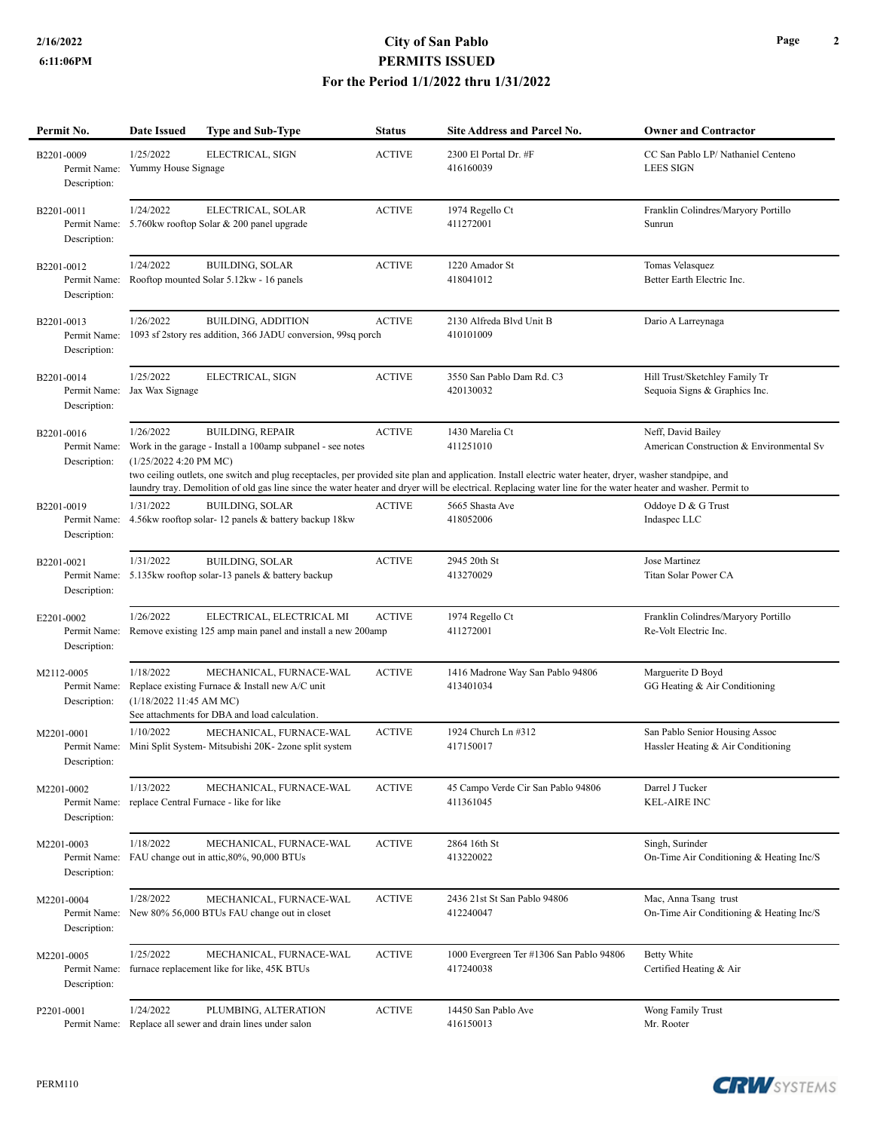## **2/16/2022 City of San Pablo PERMITS ISSUED For the Period 1/1/2022 thru 1/31/2022**

| Permit No.                                 | <b>Date Issued</b>                   | <b>Type and Sub-Type</b>                                                                                                    | <b>Status</b> | <b>Site Address and Parcel No.</b>                                                                                                                                                        | <b>Owner and Contractor</b>                                          |
|--------------------------------------------|--------------------------------------|-----------------------------------------------------------------------------------------------------------------------------|---------------|-------------------------------------------------------------------------------------------------------------------------------------------------------------------------------------------|----------------------------------------------------------------------|
| B2201-0009<br>Permit Name:<br>Description: | 1/25/2022<br>Yummy House Signage     | ELECTRICAL, SIGN                                                                                                            | <b>ACTIVE</b> | 2300 El Portal Dr. #F<br>416160039                                                                                                                                                        | CC San Pablo LP/Nathaniel Centeno<br><b>LEES SIGN</b>                |
| B2201-0011<br>Permit Name:<br>Description: | 1/24/2022                            | ELECTRICAL, SOLAR<br>5.760kw rooftop Solar & 200 panel upgrade                                                              | <b>ACTIVE</b> | 1974 Regello Ct<br>411272001                                                                                                                                                              | Franklin Colindres/Maryory Portillo<br>Sunrun                        |
| B2201-0012<br>Permit Name:<br>Description: | 1/24/2022                            | <b>BUILDING, SOLAR</b><br>Rooftop mounted Solar 5.12kw - 16 panels                                                          | <b>ACTIVE</b> | 1220 Amador St<br>418041012                                                                                                                                                               | Tomas Velasquez<br>Better Earth Electric Inc.                        |
| B2201-0013<br>Permit Name:<br>Description: | 1/26/2022                            | <b>BUILDING, ADDITION</b><br>1093 sf 2story res addition, 366 JADU conversion, 99sq porch                                   | <b>ACTIVE</b> | 2130 Alfreda Blvd Unit B<br>410101009                                                                                                                                                     | Dario A Larreynaga                                                   |
| B2201-0014<br>Permit Name:<br>Description: | 1/25/2022<br>Jax Wax Signage         | ELECTRICAL, SIGN                                                                                                            | <b>ACTIVE</b> | 3550 San Pablo Dam Rd. C3<br>420130032                                                                                                                                                    | Hill Trust/Sketchley Family Tr<br>Sequoia Signs & Graphics Inc.      |
| B2201-0016<br>Permit Name:<br>Description: | 1/26/2022<br>(1/25/2022 4:20 PM MC)  | <b>BUILDING, REPAIR</b><br>Work in the garage - Install a 100amp subpanel - see notes                                       | <b>ACTIVE</b> | 1430 Marelia Ct<br>411251010<br>two ceiling outlets, one switch and plug receptacles, per provided site plan and application. Install electric water heater, dryer, washer standpipe, and | Neff, David Bailey<br>American Construction & Environmental Sv       |
|                                            |                                      |                                                                                                                             |               | laundry tray. Demolition of old gas line since the water heater and dryer will be electrical. Replacing water line for the water heater and washer. Permit to                             |                                                                      |
| B2201-0019<br>Permit Name:<br>Description: | 1/31/2022                            | <b>BUILDING, SOLAR</b><br>4.56kw rooftop solar-12 panels & battery backup 18kw                                              | <b>ACTIVE</b> | 5665 Shasta Ave<br>418052006                                                                                                                                                              | Oddoye D & G Trust<br>Indaspec LLC                                   |
| B2201-0021<br>Permit Name:<br>Description: | 1/31/2022                            | <b>BUILDING, SOLAR</b><br>5.135kw rooftop solar-13 panels & battery backup                                                  | <b>ACTIVE</b> | 2945 20th St<br>413270029                                                                                                                                                                 | Jose Martinez<br>Titan Solar Power CA                                |
| E2201-0002<br>Permit Name:<br>Description: | 1/26/2022                            | ELECTRICAL, ELECTRICAL MI<br>Remove existing 125 amp main panel and install a new 200amp                                    | <b>ACTIVE</b> | 1974 Regello Ct<br>411272001                                                                                                                                                              | Franklin Colindres/Maryory Portillo<br>Re-Volt Electric Inc.         |
| M2112-0005<br>Permit Name:<br>Description: | 1/18/2022<br>(1/18/2022 11:45 AM MC) | MECHANICAL, FURNACE-WAL<br>Replace existing Furnace & Install new A/C unit<br>See attachments for DBA and load calculation. | <b>ACTIVE</b> | 1416 Madrone Way San Pablo 94806<br>413401034                                                                                                                                             | Marguerite D Boyd<br>GG Heating & Air Conditioning                   |
| M2201-0001<br>Description:                 | 1/10/2022                            | MECHANICAL, FURNACE-WAL<br>Permit Name: Mini Split System- Mitsubishi 20K-2zone split system                                | <b>ACTIVE</b> | 1924 Church Ln #312<br>417150017                                                                                                                                                          | San Pablo Senior Housing Assoc<br>Hassler Heating & Air Conditioning |
| M2201-0002<br>Permit Name:<br>Description: | 1/13/2022                            | MECHANICAL, FURNACE-WAL<br>replace Central Furnace - like for like                                                          | <b>ACTIVE</b> | 45 Campo Verde Cir San Pablo 94806<br>411361045                                                                                                                                           | Darrel J Tucker<br><b>KEL-AIRE INC</b>                               |
| M2201-0003<br>Permit Name:<br>Description: | 1/18/2022                            | MECHANICAL, FURNACE-WAL<br>FAU change out in attic, 80%, 90,000 BTUs                                                        | <b>ACTIVE</b> | 2864 16th St<br>413220022                                                                                                                                                                 | Singh, Surinder<br>On-Time Air Conditioning & Heating Inc/S          |
| M2201-0004<br>Permit Name:<br>Description: | 1/28/2022                            | MECHANICAL, FURNACE-WAL<br>New 80% 56,000 BTUs FAU change out in closet                                                     | <b>ACTIVE</b> | 2436 21st St San Pablo 94806<br>412240047                                                                                                                                                 | Mac, Anna Tsang trust<br>On-Time Air Conditioning & Heating Inc/S    |
| M2201-0005<br>Permit Name:<br>Description: | 1/25/2022                            | MECHANICAL, FURNACE-WAL<br>furnace replacement like for like, 45K BTUs                                                      | <b>ACTIVE</b> | 1000 Evergreen Ter #1306 San Pablo 94806<br>417240038                                                                                                                                     | <b>Betty White</b><br>Certified Heating & Air                        |
| P2201-0001<br>Permit Name:                 | 1/24/2022                            | PLUMBING, ALTERATION<br>Replace all sewer and drain lines under salon                                                       | <b>ACTIVE</b> | 14450 San Pablo Ave<br>416150013                                                                                                                                                          | Wong Family Trust<br>Mr. Rooter                                      |